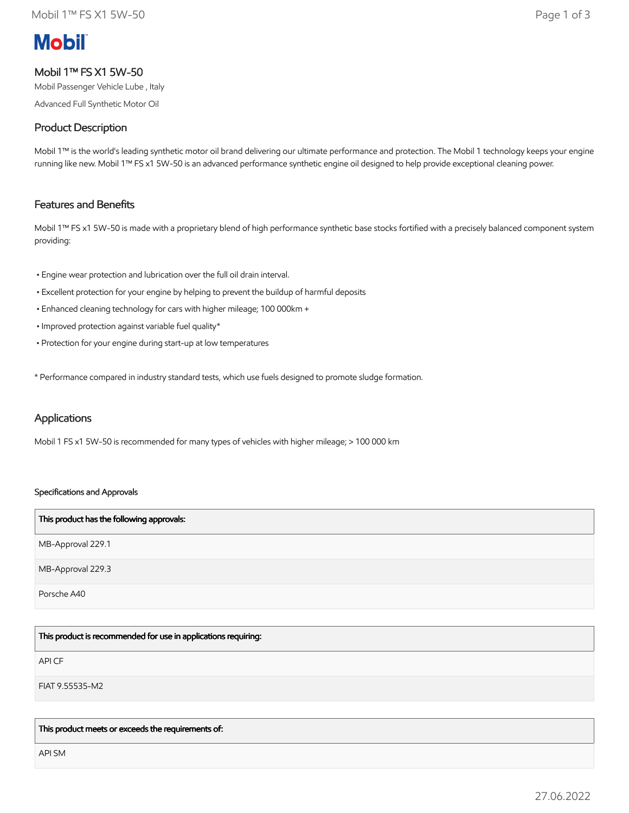# **Mobil**

# Mobil 1™ FS X1 5W-50

Mobil Passenger Vehicle Lube , Italy

Advanced Full Synthetic Motor Oil

# Product Description

Mobil 1™ is the world's leading synthetic motor oil brand delivering our ultimate performance and protection. The Mobil 1 technology keeps your engine running like new. Mobil 1™ FS x1 5W-50 is an advanced performance synthetic engine oil designed to help provide exceptional cleaning power.

# Features and Benefits

Mobil 1™ FS x1 5W-50 is made with a proprietary blend of high performance synthetic base stocks fortified with a precisely balanced component system providing:

- Engine wear protection and lubrication over the full oil drain interval.
- Excellent protection for your engine by helping to prevent the buildup of harmful deposits
- Enhanced cleaning technology for cars with higher mileage; 100 000km +
- Improved protection against variable fuel quality\*
- Protection for your engine during start-up at low temperatures

\* Performance compared in industry standard tests, which use fuels designed to promote sludge formation.

## Applications

Mobil 1 FS x1 5W-50 is recommended for many types of vehicles with higher mileage; > 100 000 km

## Specifications and Approvals

| This product has the following approvals: |
|-------------------------------------------|
| MB-Approval 229.1                         |
| MB-Approval 229.3                         |
| Porsche A40                               |

This product is recommended for use in applications requiring:

API CF

FIAT 9.55535-M2

This product meets or exceeds the requirements of:

API SM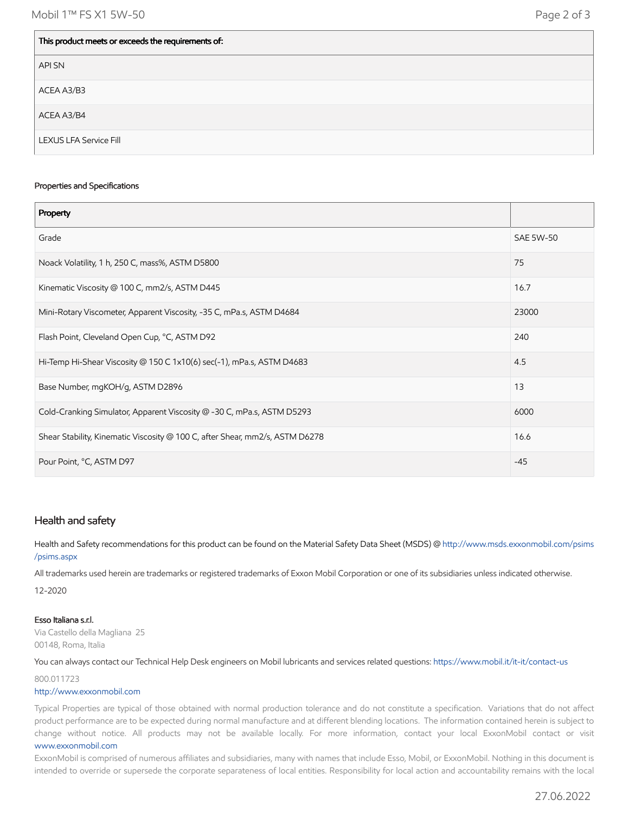| This product meets or exceeds the requirements of: |  |  |  |  |
|----------------------------------------------------|--|--|--|--|
| API SN                                             |  |  |  |  |
| ACEA A3/B3                                         |  |  |  |  |
| ACEA A3/B4                                         |  |  |  |  |
| <b>LEXUS LFA Service Fill</b>                      |  |  |  |  |

#### Properties and Specifications

| Property                                                                     |                  |
|------------------------------------------------------------------------------|------------------|
| Grade                                                                        | <b>SAE 5W-50</b> |
| Noack Volatility, 1 h, 250 C, mass%, ASTM D5800                              | 75               |
| Kinematic Viscosity @ 100 C, mm2/s, ASTM D445                                | 16.7             |
| Mini-Rotary Viscometer, Apparent Viscosity, -35 C, mPa.s, ASTM D4684         | 23000            |
| Flash Point, Cleveland Open Cup, °C, ASTM D92                                | 240              |
| Hi-Temp Hi-Shear Viscosity @ 150 C 1x10(6) sec(-1), mPa.s, ASTM D4683        | 4.5              |
| Base Number, mgKOH/g, ASTM D2896                                             | 13               |
| Cold-Cranking Simulator, Apparent Viscosity @ -30 C, mPa.s, ASTM D5293       | 6000             |
| Shear Stability, Kinematic Viscosity @ 100 C, after Shear, mm2/s, ASTM D6278 | 16.6             |
| Pour Point, °C, ASTM D97                                                     | $-45$            |

## Health and safety

Health and Safety recommendations for this product can be found on the Material Safety Data Sheet (MSDS) @ [http://www.msds.exxonmobil.com/psims](http://www.msds.exxonmobil.com/psims/psims.aspx) /psims.aspx

All trademarks used herein are trademarks or registered trademarks of Exxon Mobil Corporation or one of its subsidiaries unless indicated otherwise. 12-2020

#### Esso Italiana s.r.l.

Via Castello della Magliana 25 00148, Roma, Italia

You can always contact our Technical Help Desk engineers on Mobil lubricants and services related questions:<https://www.mobil.it/it-it/contact-us>

### 800.011723

#### [http://www.exxonmobil.com](http://www.exxonmobil.com/)

Typical Properties are typical of those obtained with normal production tolerance and do not constitute a specification. Variations that do not affect product performance are to be expected during normal manufacture and at different blending locations. The information contained herein is subject to change without notice. All products may not be available locally. For more information, contact your local ExxonMobil contact or visit [www.exxonmobil.com](http://www.exxonmobil.com/)

ExxonMobil is comprised of numerous affiliates and subsidiaries, many with names that include Esso, Mobil, or ExxonMobil. Nothing in this document is intended to override or supersede the corporate separateness of local entities. Responsibility for local action and accountability remains with the local